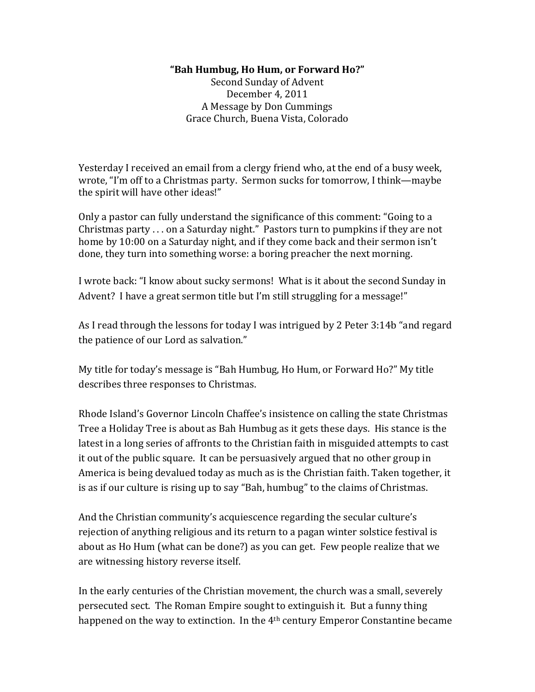## **"Bah%Humbug,%Ho%Hum,%or%Forward%Ho?"**

Second Sunday of Advent December 4, 2011 A Message by Don Cummings Grace Church, Buena Vista, Colorado

Yesterday I received an email from a clergy friend who, at the end of a busy week, wrote, "I'm off to a Christmas party. Sermon sucks for tomorrow, I think—maybe the spirit will have other ideas!"

Only a pastor can fully understand the significance of this comment: "Going to a Christmas party . . . on a Saturday night." Pastors turn to pumpkins if they are not home by 10:00 on a Saturday night, and if they come back and their sermon isn't done, they turn into something worse: a boring preacher the next morning.

I wrote back: "I know about sucky sermons! What is it about the second Sunday in Advent? I have a great sermon title but I'm still struggling for a message!"

As I read through the lessons for today I was intrigued by 2 Peter 3:14b "and regard the patience of our Lord as salvation."

My title for today's message is "Bah Humbug, Ho Hum, or Forward Ho?" My title describes three responses to Christmas.

Rhode Island's Governor Lincoln Chaffee's insistence on calling the state Christmas' Tree a Holiday Tree is about as Bah Humbug as it gets these days. His stance is the latest in a long series of affronts to the Christian faith in misguided attempts to cast it out of the public square. It can be persuasively argued that no other group in America is being devalued today as much as is the Christian faith. Taken together, it is as if our culture is rising up to say "Bah, humbug" to the claims of Christmas.

And the Christian community's acquiescence regarding the secular culture's rejection' of anything religious and its return to a pagan winter solstice festival is about as Ho Hum (what can be done?) as you can get. Few people realize that we are witnessing history reverse itself.

In the early centuries of the Christian movement, the church was a small, severely persecuted sect. The Roman Empire sought to extinguish it. But a funny thing happened on the way to extinction. In the 4<sup>th</sup> century Emperor Constantine became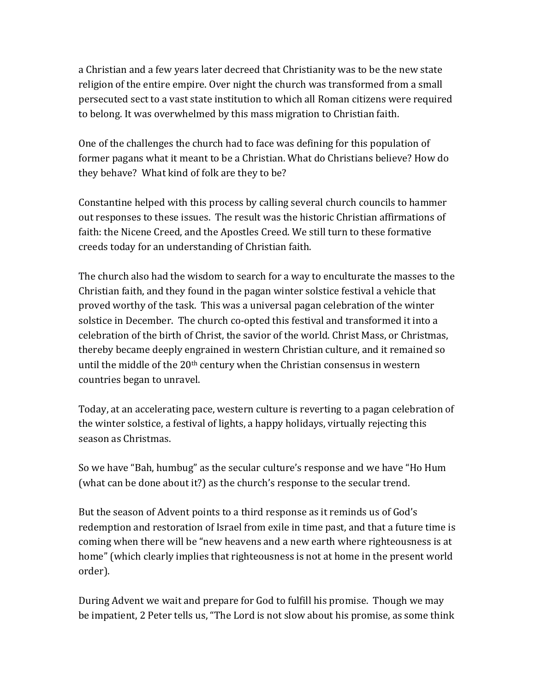a Christian and a few years later decreed that Christianity was to be the new state religion of the entire empire. Over night the church was transformed from a small persecuted sect to a vast state institution to which all Roman citizens were required to belong. It was overwhelmed by this mass migration to Christian faith.

One of the challenges the church had to face was defining for this population of former pagans what it meant to be a Christian. What do Christians believe? How do they behave? What kind of folk are they to be?

Constantine helped with this process by calling several church councils to hammer out responses to these issues. The result was the historic Christian affirmations of faith: the Nicene Creed, and the Apostles Creed. We still turn to these formative creeds'today'for'an'understanding'of'Christian'faith.

The church also had the wisdom to search for a way to enculturate the masses to the Christian faith, and they found in the pagan winter solstice festival a vehicle that proved worthy of the task. This was a universal pagan celebration of the winter solstice in December. The church co-opted this festival and transformed it into a celebration of the birth of Christ, the savior of the world. Christ Mass, or Christmas, thereby became deeply engrained in western Christian culture, and it remained so until the middle of the  $20<sup>th</sup>$  century when the Christian consensus in western countries began to unravel.

Today, at an accelerating pace, western culture is reverting to a pagan celebration of the winter solstice, a festival of lights, a happy holidays, virtually rejecting this season as Christmas.

So we have "Bah, humbug" as the secular culture's response and we have "Ho Hum" (what can be done about it?) as the church's response to the secular trend.

But the season of Advent points to a third response as it reminds us of God's redemption and restoration of Israel from exile in time past, and that a future time is coming when there will be "new heavens and a new earth where righteousness is at home" (which clearly implies that righteousness is not at home in the present world order).

During Advent we wait and prepare for God to fulfill his promise. Though we may be impatient, 2 Peter tells us, "The Lord is not slow about his promise, as some think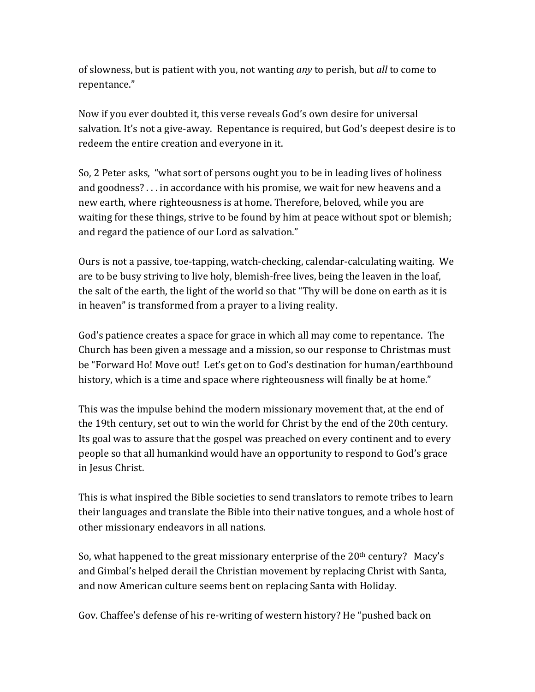of slowness, but is patient with you, not wanting *any* to perish, but *all* to come to repentance."'

Now if you ever doubted it, this verse reveals God's own desire for universal salvation. It's not a give-away. Repentance is required, but God's deepest desire is to redeem the entire creation and everyone in it.

So, 2 Peter asks, "what sort of persons ought you to be in leading lives of holiness and goodness? . . . in accordance with his promise, we wait for new heavens and a new earth, where righteousness is at home. Therefore, beloved, while you are waiting for these things, strive to be found by him at peace without spot or blemish; and regard the patience of our Lord as salvation."

Ours is not a passive, toe-tapping, watch-checking, calendar-calculating waiting. We are to be busy striving to live holy, blemish-free lives, being the leaven in the loaf, the salt of the earth, the light of the world so that "Thy will be done on earth as it is in heaven" is transformed from a prayer to a living reality.

God's patience creates a space for grace in which all may come to repentance. The Church has been given a message and a mission, so our response to Christmas must be "Forward Ho! Move out! Let's get on to God's destination for human/earthbound history, which is a time and space where righteousness will finally be at home."

This was the impulse behind the modern missionary movement that, at the end of the 19th century, set out to win the world for Christ by the end of the 20th century. Its goal was to assure that the gospel was preached on every continent and to every people so that all humankind would have an opportunity to respond to God's grace in Jesus Christ.

This is what inspired the Bible societies to send translators to remote tribes to learn their languages and translate the Bible into their native tongues, and a whole host of other missionary endeavors in all nations.

So, what happened to the great missionary enterprise of the  $20<sup>th</sup>$  century? Macy's and Gimbal's helped derail the Christian movement by replacing Christ with Santa, and now American culture seems bent on replacing Santa with Holiday.

Gov. Chaffee's defense of his re-writing of western history? He "pushed back on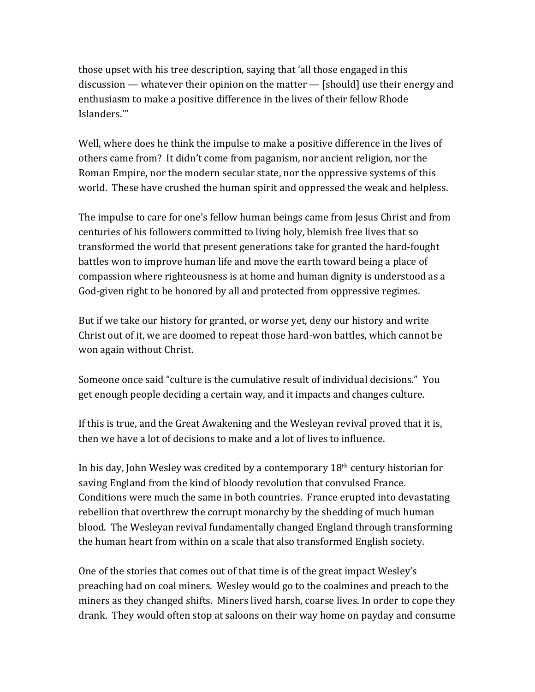those upset with his tree description, saying that 'all those engaged in this discussion — whatever their opinion on the matter — [should] use their energy and enthusiasm to make a positive difference in the lives of their fellow Rhode Islanders.'"

Well, where does he think the impulse to make a positive difference in the lives of others came from? It didn't come from paganism, nor ancient religion, nor the Roman Empire, nor the modern secular state, nor the oppressive systems of this world. These have crushed the human spirit and oppressed the weak and helpless.

The impulse to care for one's fellow human beings came from Jesus Christ and from centuries of his followers committed to living holy, blemish free lives that so transformed the world that present generations take for granted the hard-fought battles won to improve human life and move the earth toward being a place of compassion where righteousness is at home and human dignity is understood as a God-given right to be honored by all and protected from oppressive regimes.

But if we take our history for granted, or worse yet, deny our history and write Christ out of it, we are doomed to repeat those hard-won battles, which cannot be won again without Christ.

Someone once said "culture is the cumulative result of individual decisions." You get enough people deciding a certain way, and it impacts and changes culture.

If this is true, and the Great Awakening and the Wesleyan revival proved that it is, then' we have a lot of decisions to make and a lot of lives to influence.

In his day, John Wesley was credited by a contemporary  $18<sup>th</sup>$  century historian for saving England from the kind of bloody revolution that convulsed France. Conditions were much the same in both countries. France erupted into devastating rebellion'that overthrew the corrupt monarchy by the shedding of much human blood. The Wesleyan revival fundamentally changed England through transforming the human heart from within on a scale that also transformed English society.

One of the stories that comes out of that time is of the great impact Wesley's preaching had on coal miners. Wesley would go to the coalmines and preach to the miners as they changed shifts. Miners lived harsh, coarse lives. In order to cope they drank.''They'would'often'stop'at'saloons'on'their'way'home'on'payday'and'consume'